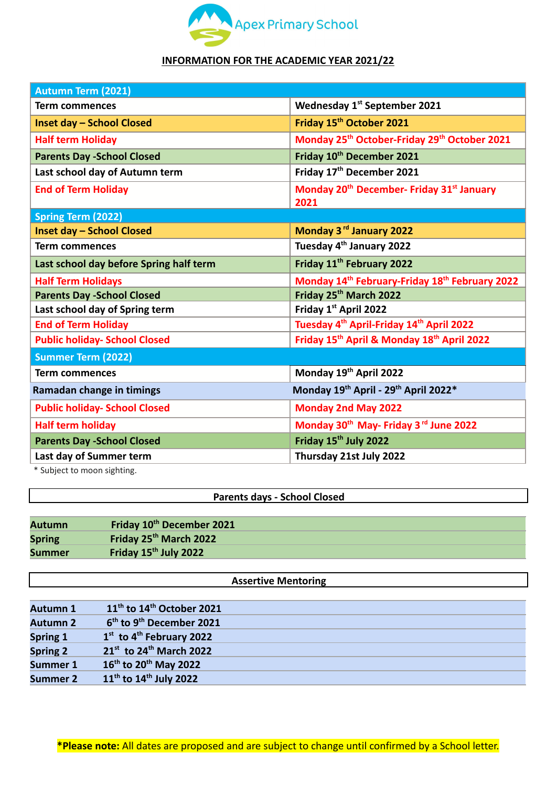

## **INFORMATION FOR THE ACADEMIC YEAR 2021/22**

| <b>Autumn Term (2021)</b>                                                 |  |  |  |  |
|---------------------------------------------------------------------------|--|--|--|--|
| Wednesday 1st September 2021                                              |  |  |  |  |
| Friday 15 <sup>th</sup> October 2021                                      |  |  |  |  |
| Monday 25 <sup>th</sup> October-Friday 29 <sup>th</sup> October 2021      |  |  |  |  |
| Friday 10 <sup>th</sup> December 2021                                     |  |  |  |  |
| Friday 17 <sup>th</sup> December 2021                                     |  |  |  |  |
| Monday 20 <sup>th</sup> December- Friday 31 <sup>st</sup> January<br>2021 |  |  |  |  |
|                                                                           |  |  |  |  |
| Monday 3rd January 2022                                                   |  |  |  |  |
| Tuesday 4 <sup>th</sup> January 2022                                      |  |  |  |  |
| Friday 11 <sup>th</sup> February 2022                                     |  |  |  |  |
| Monday 14 <sup>th</sup> February-Friday 18 <sup>th</sup> February 2022    |  |  |  |  |
| Friday 25th March 2022                                                    |  |  |  |  |
| Friday 1st April 2022                                                     |  |  |  |  |
| Tuesday 4 <sup>th</sup> April-Friday 14 <sup>th</sup> April 2022          |  |  |  |  |
| Friday 15 <sup>th</sup> April & Monday 18 <sup>th</sup> April 2022        |  |  |  |  |
|                                                                           |  |  |  |  |
| Monday 19th April 2022                                                    |  |  |  |  |
| Monday 19th April - 29th April 2022*                                      |  |  |  |  |
| <b>Monday 2nd May 2022</b>                                                |  |  |  |  |
| Monday 30 <sup>th</sup> May- Friday 3 <sup>rd</sup> June 2022             |  |  |  |  |
| Friday 15 <sup>th</sup> July 2022                                         |  |  |  |  |
| Thursday 21st July 2022                                                   |  |  |  |  |
|                                                                           |  |  |  |  |

Subject to moon sighting.

## **Parents days - School Closed**

| <b>Autumn</b> | Friday 10 <sup>th</sup> December 2021 |
|---------------|---------------------------------------|
| <b>Spring</b> | Friday 25 <sup>th</sup> March 2022    |
| <b>Summer</b> | Friday 15 <sup>th</sup> July 2022     |

## **Assertive Mentoring**

| <b>Autumn 1</b> | $11th$ to $14th$ October 2021                    |
|-----------------|--------------------------------------------------|
| <b>Autumn 2</b> | 6 <sup>th</sup> to 9 <sup>th</sup> December 2021 |
| Spring 1        | 1 <sup>st</sup> to 4 <sup>th</sup> February 2022 |
| <b>Spring 2</b> | $21^{st}$ to 24 <sup>th</sup> March 2022         |
| <b>Summer 1</b> | $16^{th}$ to 20 <sup>th</sup> May 2022           |
| <b>Summer 2</b> | $11^{th}$ to $14^{th}$ July 2022                 |